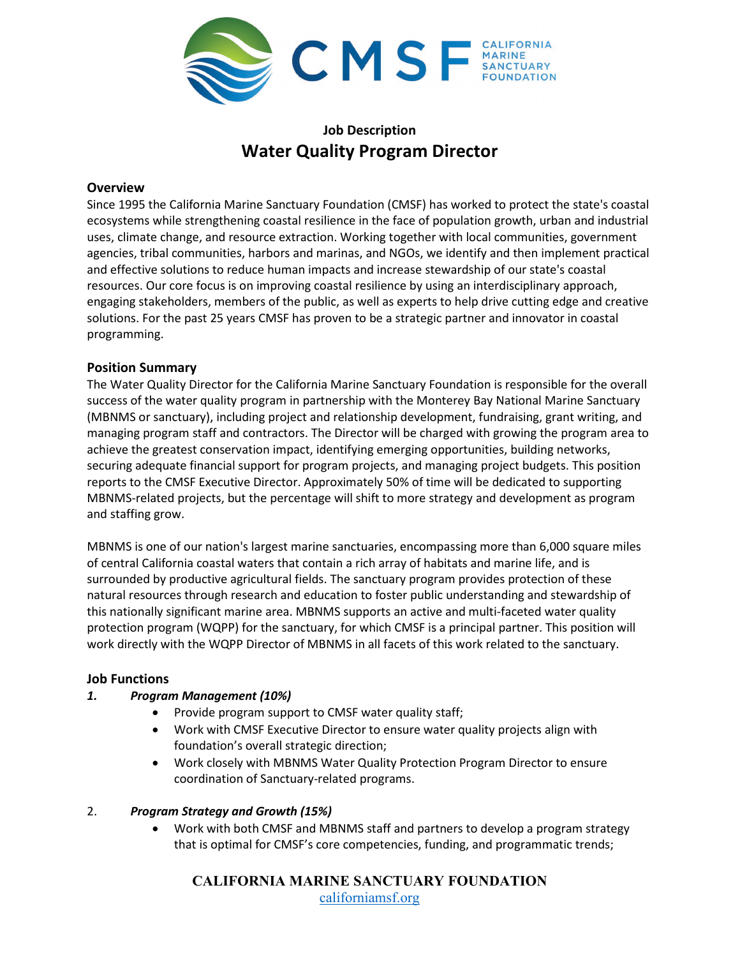

# **Job Description Water Quality Program Director**

### **Overview**

Since 1995 the California Marine Sanctuary Foundation (CMSF) has worked to protect the state's coastal ecosystems while strengthening coastal resilience in the face of population growth, urban and industrial uses, climate change, and resource extraction. Working together with local communities, government agencies, tribal communities, harbors and marinas, and NGOs, we identify and then implement practical and effective solutions to reduce human impacts and increase stewardship of our state's coastal resources. Our core focus is on improving coastal resilience by using an interdisciplinary approach, engaging stakeholders, members of the public, as well as experts to help drive cutting edge and creative solutions. For the past 25 years CMSF has proven to be a strategic partner and innovator in coastal programming.

# **Position Summary**

The Water Quality Director for the California Marine Sanctuary Foundation is responsible for the overall success of the water quality program in partnership with the Monterey Bay National Marine Sanctuary (MBNMS or sanctuary), including project and relationship development, fundraising, grant writing, and managing program staff and contractors. The Director will be charged with growing the program area to achieve the greatest conservation impact, identifying emerging opportunities, building networks, securing adequate financial support for program projects, and managing project budgets. This position reports to the CMSF Executive Director. Approximately 50% of time will be dedicated to supporting MBNMS-related projects, but the percentage will shift to more strategy and development as program and staffing grow.

MBNMS is one of our nation's largest marine sanctuaries, encompassing more than 6,000 square miles of central California coastal waters that contain a rich array of habitats and marine life, and is surrounded by productive agricultural fields. The sanctuary program provides protection of these natural resources through research and education to foster public understanding and stewardship of this nationally significant marine area. MBNMS supports an active and multi-faceted water quality protection program (WQPP) for the sanctuary, for which CMSF is a principal partner. This position will work directly with the WQPP Director of MBNMS in all facets of this work related to the sanctuary.

# **Job Functions**

### *1. Program Management (10%)*

- Provide program support to CMSF water quality staff;
- Work with CMSF Executive Director to ensure water quality projects align with foundation's overall strategic direction;
- Work closely with MBNMS Water Quality Protection Program Director to ensure coordination of Sanctuary-related programs.

# 2. *Program Strategy and Growth (15%)*

• Work with both CMSF and MBNMS staff and partners to develop a program strategy that is optimal for CMSF's core competencies, funding, and programmatic trends;

**CALIFORNIA MARINE SANCTUARY FOUNDATION** [californiamsf.org](http://www.californiamsf.org/)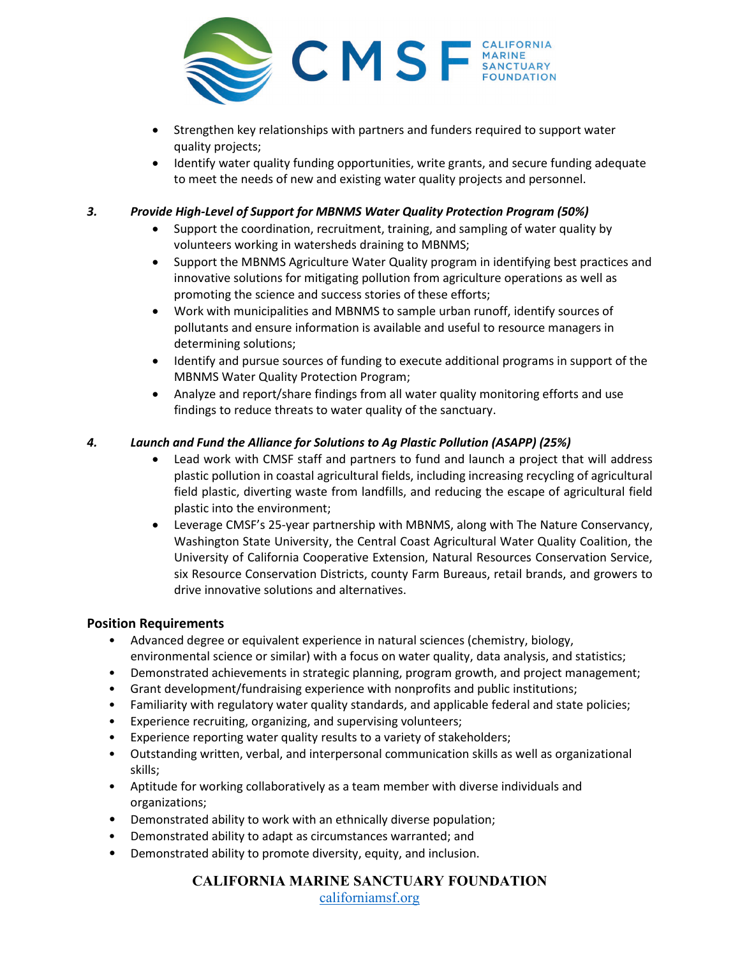

- Strengthen key relationships with partners and funders required to support water quality projects;
- Identify water quality funding opportunities, write grants, and secure funding adequate to meet the needs of new and existing water quality projects and personnel.

*3. Provide High-Level of Support for MBNMS Water Quality Protection Program (50%)*

- Support the coordination, recruitment, training, and sampling of water quality by volunteers working in watersheds draining to MBNMS;
- Support the MBNMS Agriculture Water Quality program in identifying best practices and innovative solutions for mitigating pollution from agriculture operations as well as promoting the science and success stories of these efforts;
- Work with municipalities and MBNMS to sample urban runoff, identify sources of pollutants and ensure information is available and useful to resource managers in determining solutions;
- Identify and pursue sources of funding to execute additional programs in support of the MBNMS Water Quality Protection Program;
- Analyze and report/share findings from all water quality monitoring efforts and use findings to reduce threats to water quality of the sanctuary.

# *4. Launch and Fund the Alliance for Solutions to Ag Plastic Pollution (ASAPP) (25%)*

- Lead work with CMSF staff and partners to fund and launch a project that will address plastic pollution in coastal agricultural fields, including increasing recycling of agricultural field plastic, diverting waste from landfills, and reducing the escape of agricultural field plastic into the environment;
- Leverage CMSF's 25-year partnership with MBNMS, along with The Nature Conservancy, Washington State University, the Central Coast Agricultural Water Quality Coalition, the University of California Cooperative Extension, Natural Resources Conservation Service, six Resource Conservation Districts, county Farm Bureaus, retail brands, and growers to drive innovative solutions and alternatives.

# **Position Requirements**

- Advanced degree or equivalent experience in natural sciences (chemistry, biology, environmental science or similar) with a focus on water quality, data analysis, and statistics;
- Demonstrated achievements in strategic planning, program growth, and project management;
- Grant development/fundraising experience with nonprofits and public institutions;
- Familiarity with regulatory water quality standards, and applicable federal and state policies;
- Experience recruiting, organizing, and supervising volunteers;
- Experience reporting water quality results to a variety of stakeholders;
- Outstanding written, verbal, and interpersonal communication skills as well as organizational skills;
- Aptitude for working collaboratively as a team member with diverse individuals and organizations;
- Demonstrated ability to work with an ethnically diverse population;
- Demonstrated ability to adapt as circumstances warranted; and
- Demonstrated ability to promote diversity, equity, and inclusion.

**CALIFORNIA MARINE SANCTUARY FOUNDATION** [californiamsf.org](http://www.californiamsf.org/)